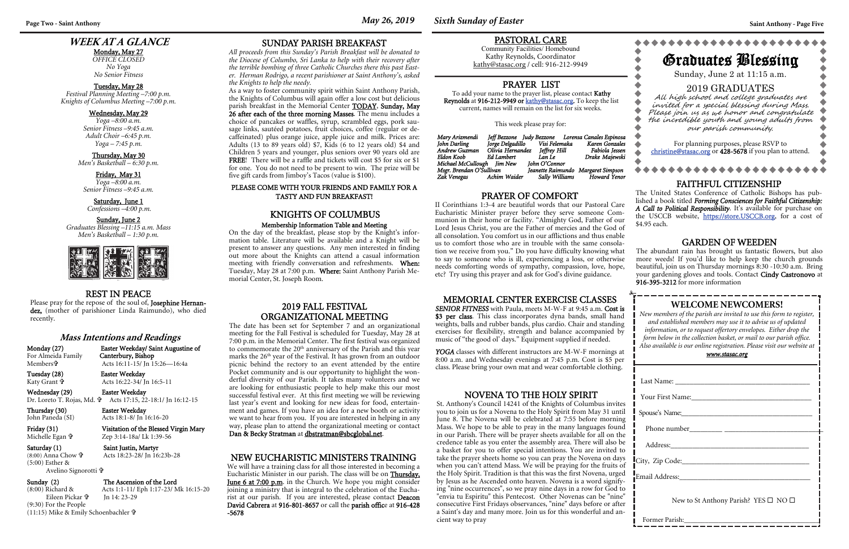## **WEEK AT A GLANCE**

Monday, May 27 *OFFICE CLOSED No Yoga No Senior Fitness* 

#### Tuesday, May 28

*Festival Planning Meeting –7:00 p.m. Knights of Columbus Meeting –7:00 p.m.* 

#### Wednesday, May 29

*Yoga –8:00 a.m. Senior Fitness –9:45 a.m. Adult Choir –6:45 p.m. Yoga – 7:45 p.m.* 

Thursday, May 30 *Men's Basketball – 6:30 p.m.* 

Friday, May 31 *Yoga –8:00 a.m. Senior Fitness –9:45 a.m.* 

Saturday, June 1  *Confessions –4:00 p.m.* 

#### Sunday, June 2

*Graduates Blessing –11:15 a.m. Mass Men's Basketball – 1:30 p.m.* 



## **WELCOME NEWCOMERS!**

*New members of the parish are invited to use this form to register, and established members may use it to advise us of updated information, or to request offertory envelopes. Either drop the form below in the collection basket, or mail to our parish office. Also available is our online registration. Please visit our website at* 

*www.stasac.org* 

Last Name: \_\_\_\_\_\_\_\_\_\_\_\_\_\_\_\_\_\_\_\_\_\_\_\_\_\_\_\_\_\_\_\_\_\_\_\_\_

Your First Name:\_\_\_\_\_\_\_\_\_\_\_\_\_\_\_\_\_\_\_\_\_\_\_\_\_\_\_\_\_\_\_\_\_

Spouse's Name:

YOGA classes with different instructors are M-W-F mornings at 8:00 a.m. and Wednesday evenings at 7:45 p.m. Cost is \$5 per class. Please bring your own mat and wear comfortable clothing.

Phone number\_\_\_\_\_\_\_\_\_ \_\_\_\_\_\_\_\_\_\_\_\_\_\_\_\_\_\_\_\_\_\_\_\_\_\_\_

Address:\_\_\_\_\_\_\_\_\_\_\_\_\_\_\_\_\_\_\_\_\_\_\_\_\_\_\_\_\_\_\_\_\_\_\_\_\_\_

 $\Box$  City,  $\Box$  ip Code:

Email Address:

New to St Anthony Parish? YES □ NO □

Former Parish:\_\_\_\_\_\_\_\_\_\_\_\_\_\_\_\_\_\_\_\_\_\_\_\_\_\_\_\_\_\_\_\_\_\_\_\_\_\_\_

#### REST IN PEACE

Please pray for the repose of the soul of, Josephine Hernandez, (mother of parishioner Linda Raimundo), who died recently.

#### MEMORIAL CENTER EXERCISE CLASSES

*SENIOR FITNESS* with Paula, meets M-W-F at 9:45 a.m. Cost is \$3 per class. This class incorporates dyna bands, small hand weights, balls and rubber bands, plus cardio. Chair and standing exercises for flexibility, strength and balance accompanied by music of "the good ol' days." Equipment supplied if needed.

Monday (27) Easter Weekday/ Saint Augustine of<br>For Almeida Family Canterbury, Bishop Acts 16:11-15/ Jn 15:26—16:4a

### PASTORAL CARE

Community Facilities/ Homebound Kathy Reynolds, Coordinator kathy@stasac.org / cell: 916-212-9949

### PRAYER OF COMFORT

II Corinthians 1:3-4 are beautiful words that our Pastoral Care Eucharistic Minister prayer before they serve someone Communion in their home or facility. "Almighty God, Father of our Lord Jesus Christ, you are the Father of mercies and the God of all consolation. You comfort us in our afflictions and thus enable us to comfort those who are in trouble with the same consolation we receive from you." Do you have difficulty knowing what to say to someone who is ill, experiencing a loss, or otherwise needs comforting words of sympathy, compassion, love, hope, etc? Try using this prayer and ask for God's divine guidance.

#### PRAYER LIST

To add your name to the prayer list, please contact Kathy Reynolds at 916-212-9949 or kathy@stasac.org. To keep the list current, names will remain on the list for six weeks.

This week please pray for:

| Mary Arizmendi             |            |                                    | Jeff Bezzone - Judy Bezzone - Lorensa Canales Espinosa |
|----------------------------|------------|------------------------------------|--------------------------------------------------------|
| John Darling               |            | Jorge Delgadillo Visi Felemaka     | Karen Gonzales                                         |
| Andrew Guzman              |            | Olivia Hernandez Jeffrey Hill      | Fabiola Iessen                                         |
| Eldon Koob                 | Ed Lambert | Lan Le                             | Drake Majewski                                         |
| Michael McCullough Jim New |            | Iohn O'Connor                      |                                                        |
| Msgr. Brendan O'Sullivan   |            | Jeanette Raimundo Margaret Simpson |                                                        |
| Zak Venegas Achim Waider   |            |                                    | Sally Williams Howard Yenor                            |

For planning purposes, please RSVP to christine@stasac.org or 428-5678 if you plan to attend.

#### **Mass Intentions and Readings**

For Almeida Family Members**†** 

Katy Grant

Tuesday (28) Easter Weekday Acts 16:22-34/ Jn 16:5-11

Wednesday (29) Easter Weekday

Thursday (30) Easter Weekday<br>John Paneda (SI) Acts 18:1-8/ Jn 1

Dr. Loreto T. Rojas, Md. Acts 17:15, 22-18:1/ Jn 16:12-15

Acts 18:1-8/ Jn 16:16-20 Friday (31) Visitation of the Blessed Virgin Mary

Michelle Egan

Zep 3:14-18a/ Lk 1:39-56

Saturday (1) Saint Justin, Martyr (8:00) Anna Chow ษี Acts 18:23-28/ Jn 16:23b-28

(5:00) Esther &

Avelino Signorotti

#### Sunday (2) The Ascension of the Lord<br>
(8:00) Richard & Acts 1:1-11/ Eph 1:17-23/ M Acts 1:1-11/ Eph 1:17-23/ Mk 16:15-20

 Eileen Pickar Jn 14: 23-29 (9:30) For the People (11:15) Mike & Emily Schoenbachler

## FAITHFUL CITIZENSHIP

\*\*\*\*\*\*\*\*\*\*\*\*\*\*

The United States Conference of Catholic Bishops has published a book titled *Forming Consciences for Faithful Citizenship: A Call to Political Responsibility*. It's available for purchase on the USCCB website, https://store.USCCB.org, for a cost of \$4.95 each.

#### NEW EUCHARISTIC MINISTERS TRAINING

We will have a training class for all those interested in becoming a Eucharistic Minister in our parish. The class will be on Thursday, **June 6 at 7:00 p.m.** in the Church. We hope you might consider joining a ministry that is integral to the celebration of the Eucharist at our parish. If you are interested, please contact Deacon David Cabrera at 916-801-8657 or call the parish office at 916-428 -5678

SUNDAY PARISH BREAKFAST

*All proceeds from this Sunday's Parish Breakfast will be donated to the Diocese of Columbo, Sri Lanka to help with their recovery after the terrible bombing of three Catholic Churches there this past Easter. Herman Rodrigo, a recent parishioner at Saint Anthony's, asked the Knights to help the needy.* 

As a way to foster community spirit within Saint Anthony Parish, the Knights of Columbus will again offer a low cost but delicious parish breakfast in the Memorial Center TODAY, Sunday, May 26 after each of the three morning Masses. The menu includes a choice of pancakes or waffles, syrup, scrambled eggs, pork sausage links, sautéed potatoes, fruit choices, coffee (regular or decaffeinated) plus orange juice, apple juice and milk. Prices are: Adults (13 to 89 years old) \$7, Kids (6 to 12 years old) \$4 and Children 5 years and younger, plus seniors over 90 years old are FREE! There will be a raffle and tickets will cost \$5 for six or \$1 for one. You do not need to be present to win. The prize will be five gift cards from Jimboy's Tacos (value is \$100).

#### PLEASE COME WITH YOUR FRIENDS AND FAMILY FOR A TASTY AND FUN BREAKFAST!

### KNIGHTS OF COLUMBUS

#### Membership Information Table and Meeting

On the day of the breakfast, please stop by the Knight's information table. Literature will be available and a Knight will be present to answer any questions. Any men interested in finding out more about the Knights can attend a casual information meeting with friendly conversation and refreshments. When: Tuesday, May 28 at 7:00 p.m. Where: Saint Anthony Parish Memorial Center, St. Joseph Room.

# Graduates Blessing

\*\*\*\*\*\*\*\*\*\*\*\*\*\*\*\*\*

Sunday, June 2 at 11:15 a.m. 2019 GRADUATES

All high school and college graduates are invited for a <sup>s</sup>pecial blessing during Mass. Please joi<sup>n</sup> us as we honor and <sup>c</sup>ongratulate the incredible youth and young adults from our parish <sup>c</sup>om<sup>m</sup>unity*.* 

#### 2019 FALL FESTIVAL ORGANIZATIONAL MEETING

The date has been set for September 7 and an organizational meeting for the Fall Festival is scheduled for Tuesday, May 28 at 7:00 p.m. in the Memorial Center. The first festival was organized to commemorate the 20<sup>th</sup> anniversary of the Parish and this year marks the  $26<sup>th</sup>$  year of the Festival. It has grown from an outdoor picnic behind the rectory to an event attended by the entire Pocket community and is our opportunity to highlight the wonderful diversity of our Parish. It takes many volunteers and we are looking for enthusiastic people to help make this our most successful festival ever. At this first meeting we will be reviewing last year's event and looking for new ideas for food, entertainment and games. If you have an idea for a new booth or activity we want to hear from you. If you are interested in helping in any way, please plan to attend the organizational meeting or contact Dan & Becky Stratman at dbstratman@sbcglobal.net.

## GARDEN OF WEEDEN

The abundant rain has brought us fantastic flowers, but also more weeds! If you'd like to help keep the church grounds beautiful, join us on Thursday mornings 8:30 -10:30 a.m. Bring your gardening gloves and tools. Contact Cindy Castronovo at 916-395-3212 for more information

#### NOVENA TO THE HOLY SPIRIT

St. Anthony's Council 14241 of the Knights of Columbus invites you to join us for a Novena to the Holy Spirit from May 31 until June 8. The Novena will be celebrated at 7:55 before morning Mass. We hope to be able to pray in the many languages found in our Parish. There will be prayer sheets available for all on the credence table as you enter the assembly area. There will also be a basket for you to offer special intentions. You are invited to take the prayer sheets home so you can pray the Novena on days when you can't attend Mass. We will be praying for the fruits of the Holy Spirit. Tradition is that this was the first Novena, urged by Jesus as he Ascended onto heaven. Novena is a word signifying "nine occurrences", so we pray nine days in a row for God to "envia tu Espiritu" this Pentecost. Other Novenas can be "nine" consecutive First Fridays observances, "nine" days before or after a Saint's day and many more. Join us for this wonderful and ancient way to pray